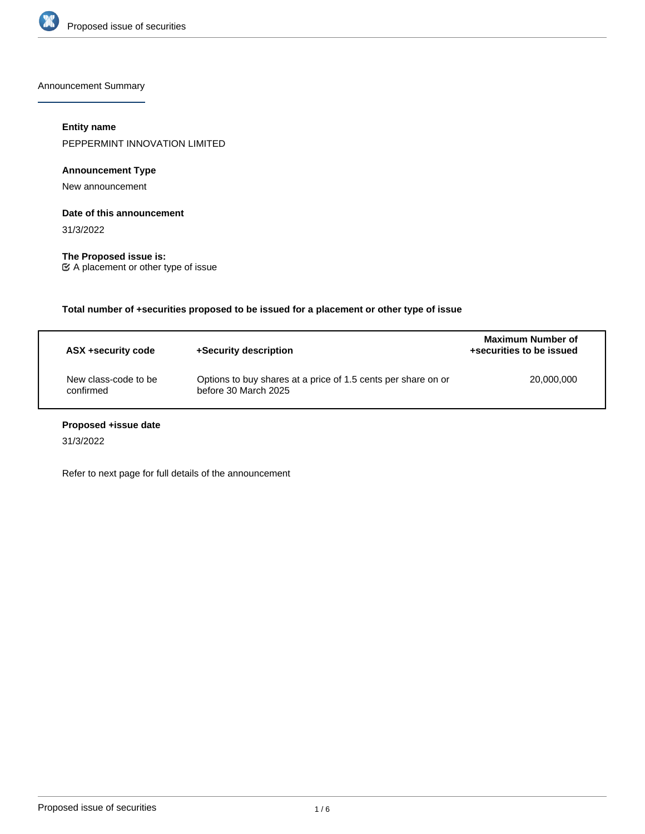

Announcement Summary

# **Entity name**

PEPPERMINT INNOVATION LIMITED

## **Announcement Type**

New announcement

#### **Date of this announcement**

31/3/2022

**The Proposed issue is:** A placement or other type of issue

**Total number of +securities proposed to be issued for a placement or other type of issue**

| ASX +security code                | +Security description                                                                 | <b>Maximum Number of</b><br>+securities to be issued |
|-----------------------------------|---------------------------------------------------------------------------------------|------------------------------------------------------|
| New class-code to be<br>confirmed | Options to buy shares at a price of 1.5 cents per share on or<br>before 30 March 2025 | 20,000,000                                           |

# **Proposed +issue date**

31/3/2022

Refer to next page for full details of the announcement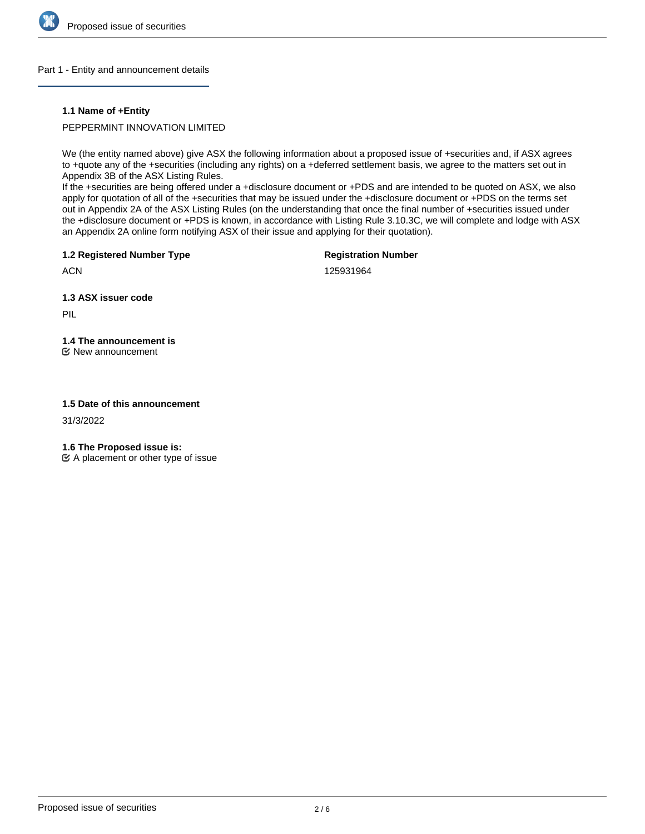

#### Part 1 - Entity and announcement details

#### **1.1 Name of +Entity**

#### PEPPERMINT INNOVATION LIMITED

We (the entity named above) give ASX the following information about a proposed issue of +securities and, if ASX agrees to +quote any of the +securities (including any rights) on a +deferred settlement basis, we agree to the matters set out in Appendix 3B of the ASX Listing Rules.

If the +securities are being offered under a +disclosure document or +PDS and are intended to be quoted on ASX, we also apply for quotation of all of the +securities that may be issued under the +disclosure document or +PDS on the terms set out in Appendix 2A of the ASX Listing Rules (on the understanding that once the final number of +securities issued under the +disclosure document or +PDS is known, in accordance with Listing Rule 3.10.3C, we will complete and lodge with ASX an Appendix 2A online form notifying ASX of their issue and applying for their quotation).

**1.2 Registered Number Type**

**Registration Number**

**ACN** 

125931964

**1.3 ASX issuer code**

PIL

# **1.4 The announcement is**

New announcement

#### **1.5 Date of this announcement**

31/3/2022

**1.6 The Proposed issue is:**

 $\mathfrak{C}$  A placement or other type of issue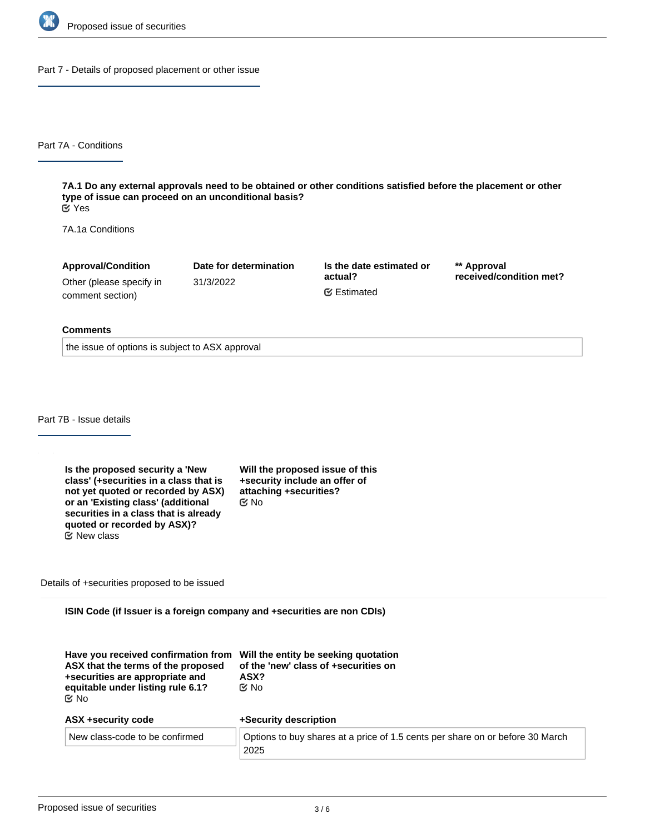

Part 7 - Details of proposed placement or other issue

Part 7A - Conditions

**7A.1 Do any external approvals need to be obtained or other conditions satisfied before the placement or other type of issue can proceed on an unconditional basis?** Yes

7A.1a Conditions

**Approval/Condition** Other (please specify in comment section)

31/3/2022

**Date for determination**

**Is the date estimated or actual?** Estimated

**\*\* Approval received/condition met?**

#### **Comments**

the issue of options is subject to ASX approval

Part 7B - Issue details

**Is the proposed security a 'New class' (+securities in a class that is not yet quoted or recorded by ASX) or an 'Existing class' (additional securities in a class that is already quoted or recorded by ASX)?**  $E$  New class

**Will the proposed issue of this +security include an offer of attaching +securities?** No

Details of +securities proposed to be issued

**ISIN Code (if Issuer is a foreign company and +securities are non CDIs)**

| Have you received confirmation from Will the entity be seeking quotation<br>ASX that the terms of the proposed<br>+securities are appropriate and<br>equitable under listing rule 6.1?<br>tiX No | of the 'new' class of +securities on<br>ASX?<br>C⁄⊠ No                                |
|--------------------------------------------------------------------------------------------------------------------------------------------------------------------------------------------------|---------------------------------------------------------------------------------------|
| ASX +security code                                                                                                                                                                               | +Security description                                                                 |
| New class-code to be confirmed                                                                                                                                                                   | Options to buy shares at a price of 1.5 cents per share on or before 30 March<br>2025 |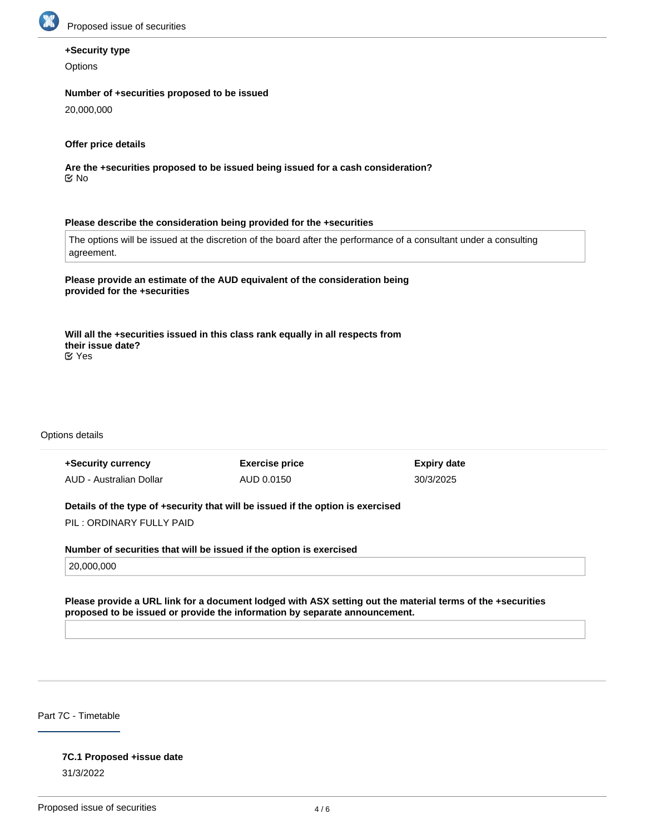

## **+Security type**

**Options** 

#### **Number of +securities proposed to be issued**

20,000,000

### **Offer price details**

**Are the +securities proposed to be issued being issued for a cash consideration?** No

#### **Please describe the consideration being provided for the +securities**

The options will be issued at the discretion of the board after the performance of a consultant under a consulting agreement.

**Please provide an estimate of the AUD equivalent of the consideration being provided for the +securities**

**Will all the +securities issued in this class rank equally in all respects from their issue date?** Yes

Options details

| +Security currency                                                              | <b>Exercise price</b> | Expiry date |  |
|---------------------------------------------------------------------------------|-----------------------|-------------|--|
| AUD - Australian Dollar                                                         | AUD 0.0150            | 30/3/2025   |  |
| Details of the type of +security that will be issued if the option is exercised |                       |             |  |

PIL : ORDINARY FULLY PAID

**Number of securities that will be issued if the option is exercised**

20,000,000

**Please provide a URL link for a document lodged with ASX setting out the material terms of the +securities proposed to be issued or provide the information by separate announcement.**

Part 7C - Timetable

31/3/2022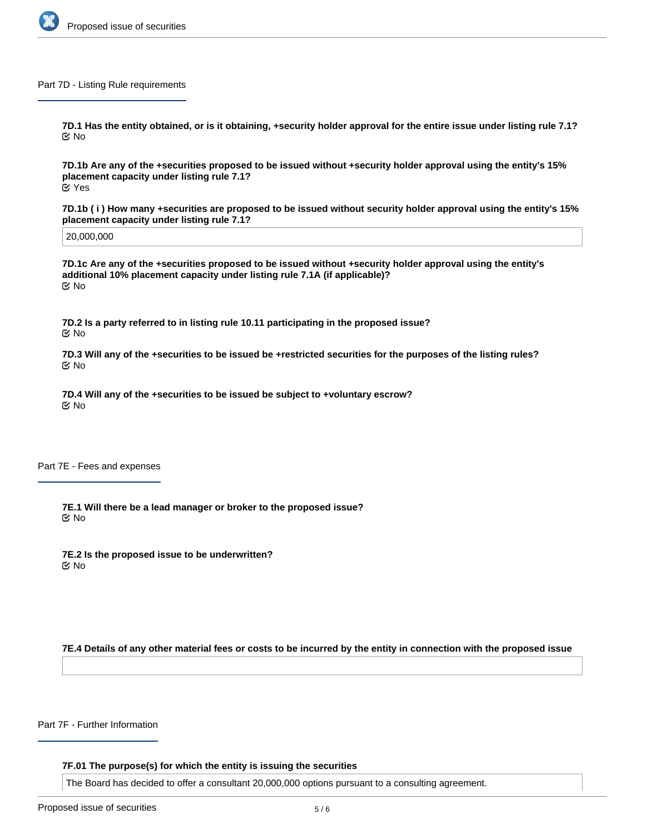

#### Part 7D - Listing Rule requirements

**7D.1 Has the entity obtained, or is it obtaining, +security holder approval for the entire issue under listing rule 7.1?** No

**7D.1b Are any of the +securities proposed to be issued without +security holder approval using the entity's 15% placement capacity under listing rule 7.1?** Yes

**7D.1b ( i ) How many +securities are proposed to be issued without security holder approval using the entity's 15% placement capacity under listing rule 7.1?**

20,000,000

**7D.1c Are any of the +securities proposed to be issued without +security holder approval using the entity's additional 10% placement capacity under listing rule 7.1A (if applicable)?** No

**7D.2 Is a party referred to in listing rule 10.11 participating in the proposed issue?** No

**7D.3 Will any of the +securities to be issued be +restricted securities for the purposes of the listing rules?** No

**7D.4 Will any of the +securities to be issued be subject to +voluntary escrow?** No

Part 7E - Fees and expenses

**7E.1 Will there be a lead manager or broker to the proposed issue?** No

**7E.2 Is the proposed issue to be underwritten?** No

**7E.4 Details of any other material fees or costs to be incurred by the entity in connection with the proposed issue**

Part 7F - Further Information

**7F.01 The purpose(s) for which the entity is issuing the securities**

The Board has decided to offer a consultant 20,000,000 options pursuant to a consulting agreement.